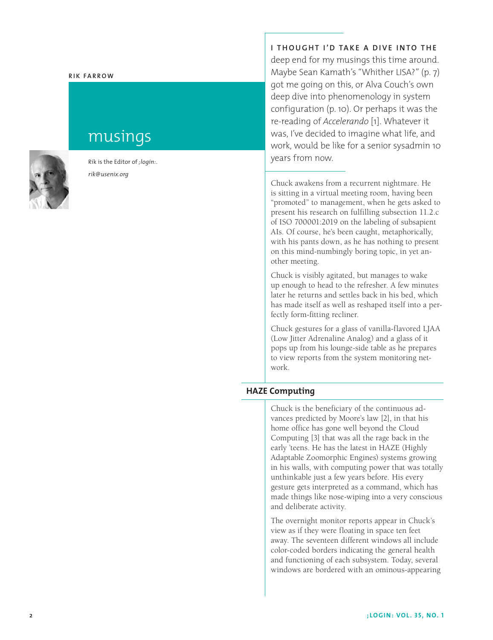#### **Rik Fa rr o w**

# musings

Rik is the Editor of *;login:*. *rik@usenix.org*

**I thought I'd take a dive i nto the** deep end for my musings this time around. Maybe Sean Kamath's "Whither LISA?" (p. 7) got me going on this, or Alva Couch's own deep dive into phenomenology in system configuration (p. 10). Or perhaps it was the re-reading of *Accelerando* [1]. Whatever it was, I've decided to imagine what life, and work, would be like for a senior sysadmin 10 years from now.

Chuck awakens from a recurrent nightmare. He is sitting in a virtual meeting room, having been "promoted" to management, when he gets asked to present his research on fulfilling subsection 11.2.c of ISO 700001:2019 on the labeling of subsapient AIs. Of course, he's been caught, metaphorically, with his pants down, as he has nothing to present on this mind-numbingly boring topic, in yet another meeting.

Chuck is visibly agitated, but manages to wake up enough to head to the refresher. A few minutes later he returns and settles back in his bed, which has made itself as well as reshaped itself into a perfectly form-fitting recliner.

Chuck gestures for a glass of vanilla-flavored LJAA (Low Jitter Adrenaline Analog) and a glass of it pops up from his lounge-side table as he prepares to view reports from the system monitoring network.

## **HAZE Computing**

Chuck is the beneficiary of the continuous advances predicted by Moore's law [2], in that his home office has gone well beyond the Cloud Computing [3] that was all the rage back in the early 'teens. He has the latest in HAZE (Highly Adaptable Zoomorphic Engines) systems growing in his walls, with computing power that was totally unthinkable just a few years before. His every gesture gets interpreted as a command, which has made things like nose-wiping into a very conscious and deliberate activity.

The overnight monitor reports appear in Chuck's view as if they were floating in space ten feet away. The seventeen different windows all include color-coded borders indicating the general health and functioning of each subsystem. Today, several windows are bordered with an ominous-appearing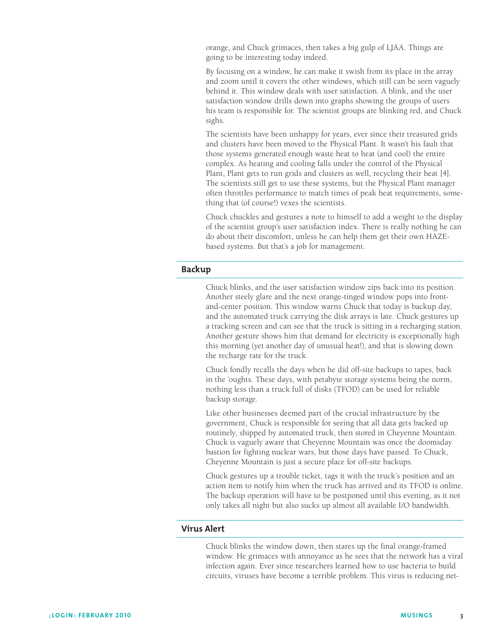orange, and Chuck grimaces, then takes a big gulp of LJAA. Things are going to be interesting today indeed.

By focusing on a window, he can make it swish from its place in the array and zoom until it covers the other windows, which still can be seen vaguely behind it. This window deals with user satisfaction. A blink, and the user satisfaction window drills down into graphs showing the groups of users his team is responsible for. The scientist groups are blinking red, and Chuck sighs.

The scientists have been unhappy for years, ever since their treasured grids and clusters have been moved to the Physical Plant. It wasn't his fault that those systems generated enough waste heat to heat (and cool) the entire complex. As heating and cooling falls under the control of the Physical Plant, Plant gets to run grids and clusters as well, recycling their heat [4]. The scientists still get to use these systems, but the Physical Plant manager often throttles performance to match times of peak heat requirements, something that (of course!) vexes the scientists.

Chuck chuckles and gestures a note to himself to add a weight to the display of the scientist group's user satisfaction index. There is really nothing he can do about their discomfort, unless he can help them get their own HAZEbased systems. But that's a job for management.

#### **Backup**

Chuck blinks, and the user satisfaction window zips back into its position. Another steely glare and the next orange-tinged window pops into frontand-center position. This window warns Chuck that today is backup day, and the automated truck carrying the disk arrays is late. Chuck gestures up a tracking screen and can see that the truck is sitting in a recharging station. Another gesture shows him that demand for electricity is exceptionally high this morning (yet another day of unusual heat!), and that is slowing down the recharge rate for the truck.

Chuck fondly recalls the days when he did off-site backups to tapes, back in the 'oughts. These days, with petabyte storage systems being the norm, nothing less than a truck full of disks (TFOD) can be used for reliable backup storage.

Like other businesses deemed part of the crucial infrastructure by the government, Chuck is responsible for seeing that all data gets backed up routinely, shipped by automated truck, then stored in Cheyenne Mountain. Chuck is vaguely aware that Cheyenne Mountain was once the doomsday bastion for fighting nuclear wars, but those days have passed. To Chuck, Cheyenne Mountain is just a secure place for off-site backups.

Chuck gestures up a trouble ticket, tags it with the truck's position and an action item to notify him when the truck has arrived and its TFOD is online. The backup operation will have to be postponed until this evening, as it not only takes all night but also sucks up almost all available I/O bandwidth.

### **Virus Alert**

Chuck blinks the window down, then stares up the final orange-framed window. He grimaces with annoyance as he sees that the network has a viral infection again. Ever since researchers learned how to use bacteria to build circuits, viruses have become a terrible problem. This virus is reducing net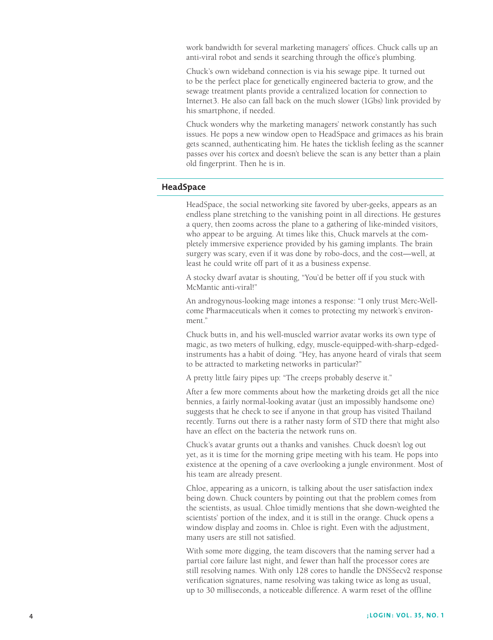work bandwidth for several marketing managers' offices. Chuck calls up an anti-viral robot and sends it searching through the office's plumbing.

Chuck's own wideband connection is via his sewage pipe. It turned out to be the perfect place for genetically engineered bacteria to grow, and the sewage treatment plants provide a centralized location for connection to Internet3. He also can fall back on the much slower (1Gbs) link provided by his smartphone, if needed.

Chuck wonders why the marketing managers' network constantly has such issues. He pops a new window open to HeadSpace and grimaces as his brain gets scanned, authenticating him. He hates the ticklish feeling as the scanner passes over his cortex and doesn't believe the scan is any better than a plain old fingerprint. Then he is in.

#### **HeadSpace**

HeadSpace, the social networking site favored by uber-geeks, appears as an endless plane stretching to the vanishing point in all directions. He gestures a query, then zooms across the plane to a gathering of like-minded visitors, who appear to be arguing. At times like this, Chuck marvels at the completely immersive experience provided by his gaming implants. The brain surgery was scary, even if it was done by robo-docs, and the cost—well, at least he could write off part of it as a business expense.

A stocky dwarf avatar is shouting, "You'd be better off if you stuck with McMantic anti-viral!"

An androgynous-looking mage intones a response: "I only trust Merc-Wellcome Pharmaceuticals when it comes to protecting my network's environment."

Chuck butts in, and his well-muscled warrior avatar works its own type of magic, as two meters of hulking, edgy, muscle-equipped-with-sharp-edgedinstruments has a habit of doing. "Hey, has anyone heard of virals that seem to be attracted to marketing networks in particular?"

A pretty little fairy pipes up: "The creeps probably deserve it."

After a few more comments about how the marketing droids get all the nice bennies, a fairly normal-looking avatar (just an impossibly handsome one) suggests that he check to see if anyone in that group has visited Thailand recently. Turns out there is a rather nasty form of STD there that might also have an effect on the bacteria the network runs on.

Chuck's avatar grunts out a thanks and vanishes. Chuck doesn't log out yet, as it is time for the morning gripe meeting with his team. He pops into existence at the opening of a cave overlooking a jungle environment. Most of his team are already present.

Chloe, appearing as a unicorn, is talking about the user satisfaction index being down. Chuck counters by pointing out that the problem comes from the scientists, as usual. Chloe timidly mentions that she down-weighted the scientists' portion of the index, and it is still in the orange. Chuck opens a window display and zooms in. Chloe is right. Even with the adjustment, many users are still not satisfied.

With some more digging, the team discovers that the naming server had a partial core failure last night, and fewer than half the processor cores are still resolving names. With only 128 cores to handle the DNSSecv2 response verification signatures, name resolving was taking twice as long as usual, up to 30 milliseconds, a noticeable difference. A warm reset of the offline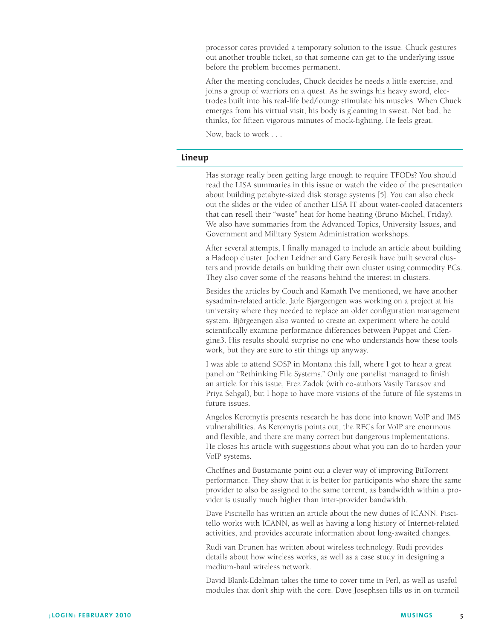processor cores provided a temporary solution to the issue. Chuck gestures out another trouble ticket, so that someone can get to the underlying issue before the problem becomes permanent.

After the meeting concludes, Chuck decides he needs a little exercise, and joins a group of warriors on a quest. As he swings his heavy sword, electrodes built into his real-life bed/lounge stimulate his muscles. When Chuck emerges from his virtual visit, his body is gleaming in sweat. Not bad, he thinks, for fifteen vigorous minutes of mock-fighting. He feels great.

Now, back to work . . .

#### **Lineup**

Has storage really been getting large enough to require TFODs? You should read the LISA summaries in this issue or watch the video of the presentation about building petabyte-sized disk storage systems [5]. You can also check out the slides or the video of another LISA IT about water-cooled datacenters that can resell their "waste" heat for home heating (Bruno Michel, Friday). We also have summaries from the Advanced Topics, University Issues, and Government and Military System Administration workshops.

After several attempts, I finally managed to include an article about building a Hadoop cluster. Jochen Leidner and Gary Berosik have built several clusters and provide details on building their own cluster using commodity PCs. They also cover some of the reasons behind the interest in clusters.

Besides the articles by Couch and Kamath I've mentioned, we have another sysadmin-related article. Jarle Bjørgeengen was working on a project at his university where they needed to replace an older configuration management system. Björgeengen also wanted to create an experiment where he could scientifically examine performance differences between Puppet and Cfengine3. His results should surprise no one who understands how these tools work, but they are sure to stir things up anyway.

I was able to attend SOSP in Montana this fall, where I got to hear a great panel on "Rethinking File Systems." Only one panelist managed to finish an article for this issue, Erez Zadok (with co-authors Vasily Tarasov and Priya Sehgal), but I hope to have more visions of the future of file systems in future issues.

Angelos Keromytis presents research he has done into known VoIP and IMS vulnerabilities. As Keromytis points out, the RFCs for VoIP are enormous and flexible, and there are many correct but dangerous implementations. He closes his article with suggestions about what you can do to harden your VoIP systems.

Choffnes and Bustamante point out a clever way of improving BitTorrent performance. They show that it is better for participants who share the same provider to also be assigned to the same torrent, as bandwidth within a provider is usually much higher than inter-provider bandwidth.

Dave Piscitello has written an article about the new duties of ICANN. Piscitello works with ICANN, as well as having a long history of Internet-related activities, and provides accurate information about long-awaited changes.

Rudi van Drunen has written about wireless technology. Rudi provides details about how wireless works, as well as a case study in designing a medium-haul wireless network.

David Blank-Edelman takes the time to cover time in Perl, as well as useful modules that don't ship with the core. Dave Josephsen fills us in on turmoil